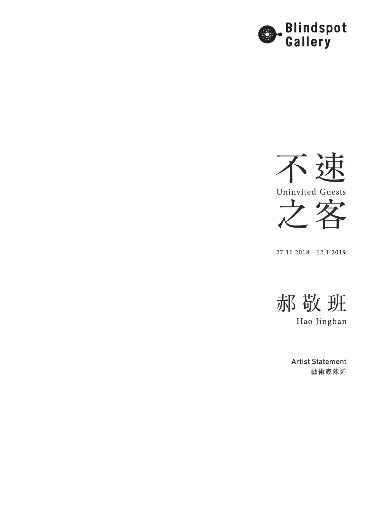



27.11.2018 - 12.1.2019



Hao Jingban

Artist Statement 藝術家陳述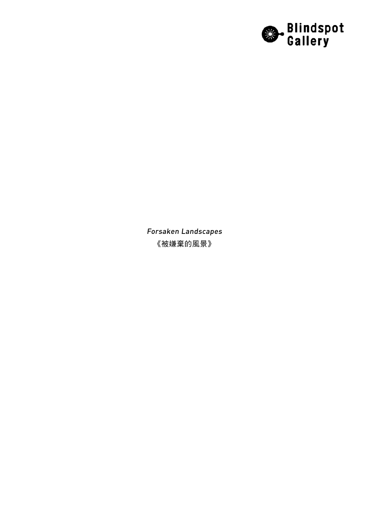

Forsaken Landscapes 《被嫌棄的風景》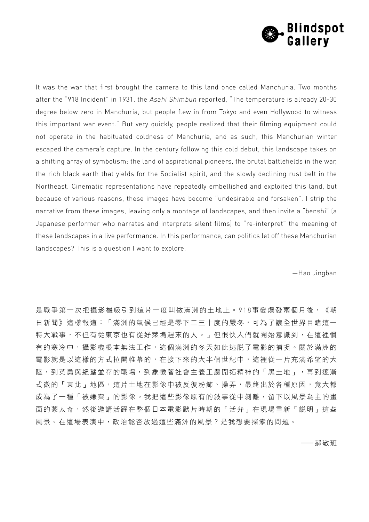

It was the war that first brought the camera to this land once called Manchuria. Two months after the "918 Incident" in 1931, the Asahi Shimbun reported, "The temperature is already 20-30 degree below zero in Manchuria, but people flew in from Tokyo and even Hollywood to witness this important war event." But very quickly, people realized that their filming equipment could not operate in the habituated coldness of Manchuria, and as such, this Manchurian winter escaped the camera's capture. In the century following this cold debut, this landscape takes on a shifting array of symbolism: the land of aspirational pioneers, the brutal battlefields in the war, the rich black earth that yields for the Socialist spirit, and the slowly declining rust belt in the Northeast. Cinematic representations have repeatedly embellished and exploited this land, but because of various reasons, these images have become "undesirable and forsaken". I strip the narrative from these images, leaving only a montage of landscapes, and then invite a "benshi" (a Japanese performer who narrates and interprets silent films) to "re-interpret" the meaning of these landscapes in a live performance. In this performance, can politics let off these Manchurian landscapes? This is a question I want to explore.

—Hao Jingban

是戰爭第一次把攝影機吸引到這片一度叫做滿洲的土地上。918事變爆發兩個月後,《朝 日新聞》這樣報道:「滿洲的氣候已經是零下二三十度的嚴冬,可為了讓全世界目睹這一 特大戰事,不但有從東京也有從好萊塢趕來的人。」但很快人們就開始意識到,在這裡慣 有的寒冷中,攝影機根本無法工作,這個滿洲的冬天如此逃脱了電影的捕捉。關於滿洲的 電影就是以這樣的方式拉開帷幕的,在接下來的大半個世紀中,這裡從一片充滿希望的大 陸,到英勇與絕望並存的戰場,到象徵著社會主義工農開拓精神的「黑土地」,再到逐漸 式微的「東北」地區,這片土地在影像中被反復粉飾、操弄,最終出於各種原因,竟大都 成為了一種「被嫌棄」的影像。我把這些影像原有的敍事從中剝離,留下以風景為主的畫 面的蒙太奇,然後邀請活躍在整個日本電影默片時期的「活弁」在現場重新「説明」這些 風景。在這場表演中,政治能否放過這些滿洲的風景?是我想要探索的問題。

——郝敬班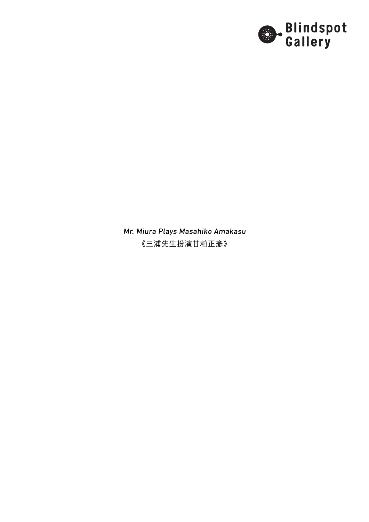

Mr. Miura Plays Masahiko Amakasu 《三浦先生扮演甘粕正彥》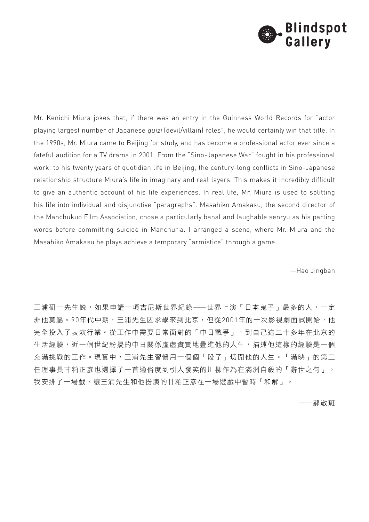

Mr. Kenichi Miura jokes that, if there was an entry in the Guinness World Records for "actor playing largest number of Japanese guizi (devil/villain) roles", he would certainly win that title. In the 1990s, Mr. Miura came to Beijing for study, and has become a professional actor ever since a fateful audition for a TV drama in 2001. From the "Sino-Japanese War" fought in his professional work, to his twenty years of quotidian life in Beijing, the century-long conflicts in Sino-Japanese relationship structure Miura's life in imaginary and real layers. This makes it incredibly difficult to give an authentic account of his life experiences. In real life, Mr. Miura is used to splitting his life into individual and disjunctive "paragraphs". Masahiko Amakasu, the second director of the Manchukuo Film Association, chose a particularly banal and laughable senryū as his parting words before committing suicide in Manchuria. I arranged a scene, where Mr. Miura and the Masahiko Amakasu he plays achieve a temporary "armistice" through a game .

—Hao Jingban

三浦研一先生説,如果申請一項吉尼斯世界紀錄——世界上演「日本鬼子」最多的人,一定 非他莫屬。90年代中期,三浦先生因求學來到北京,但從2001年的一次影視劇面試開始,他 完全投入了表演行業。從工作中需要日常面對的「中日戰爭」,到自己這二十多年在北京的 生活經驗,近一個世紀紛擾的中日關係虛虛實實地疊進他的人生,描述他這樣的經驗是一個 充滿挑戰的工作。現實中,三浦先生習慣用一個個「段子」切開他的人生。「滿映」的第二 任理事長甘粕正彦也選擇了一首通俗度到引人發笑的川柳作為在滿洲自殺的「辭世之句」。 我安排了一場戲,讓三浦先生和他扮演的甘粕正彦在一場遊戲中暫時「和解」。

——郝敬班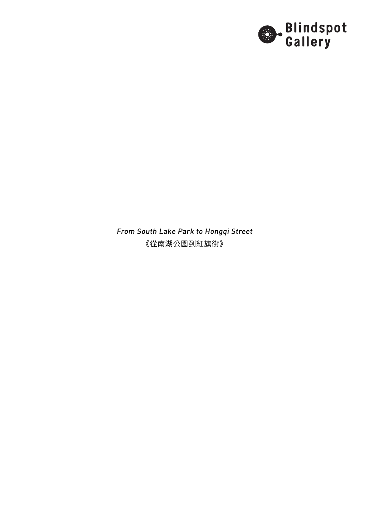

From South Lake Park to Hongqi Street 《從南湖公園到紅旗街》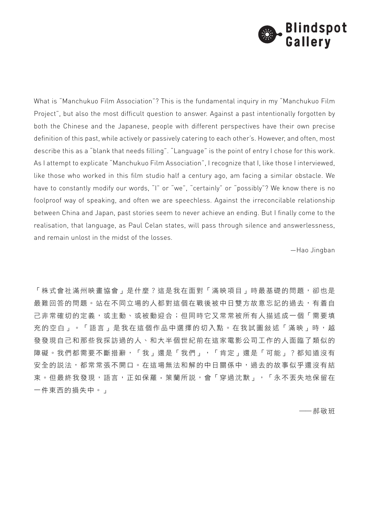

What is "Manchukuo Film Association"? This is the fundamental inquiry in my "Manchukuo Film Project", but also the most difficult question to answer. Against a past intentionally forgotten by both the Chinese and the Japanese, people with different perspectives have their own precise definition of this past, while actively or passively catering to each other's. However, and often, most describe this as a "blank that needs filling". "Language" is the point of entry I chose for this work. As I attempt to explicate "Manchukuo Film Association", I recognize that I, like those I interviewed, like those who worked in this film studio half a century ago, am facing a similar obstacle. We have to constantly modify our words, "I" or "we", "certainly" or "possibly"? We know there is no foolproof way of speaking, and often we are speechless. Against the irreconcilable relationship between China and Japan, past stories seem to never achieve an ending. But I finally come to the realisation, that language, as Paul Celan states, will pass through silence and answerlessness, and remain unlost in the midst of the losses.

—Hao Jingban

「株式會社滿州映畫協會」是什麼?這是我在面對「滿映項目」時最基礎的問題,卻也是 最難回答的問題。站在不同立場的人都對這個在戰後被中日雙方故意忘記的過去,有着自 己非常確切的定義,或主動、或被動迎合;但同時它又常常被所有人描述成一個「需要填 充的空白」。「語言」是我在這個作品中選擇的切入點。在我試圖敍述「滿映」時,越 發發現自己和那些我採訪過的人、和大半個世紀前在這家電影公司工作的人面臨了類似的 障礙。我們都需要不斷措辭,「我」還是「我們」,「肯定」還是「可能」?都知道沒有 安全的説法,都常常張不開口。在這場無法和解的中日關係中,過去的故事似乎還沒有結 束。但最終我發現,語言,正如保羅·策蘭所説,會「穿過沈默」,「永不丟失地保留在 一件東西的損失中。」

——郝敬班